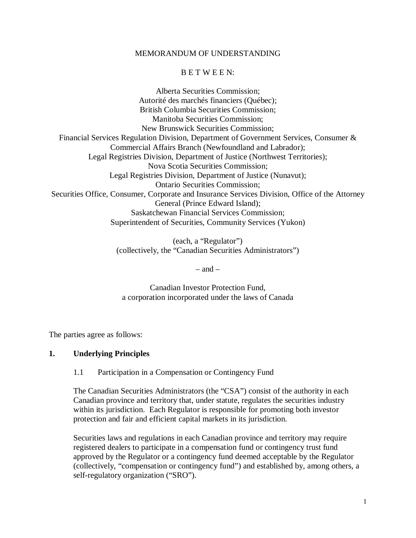#### MEMORANDUM OF UNDERSTANDING

#### B E T W E E N:

Alberta Securities Commission; Autorité des marchés financiers (Québec); British Columbia Securities Commission; Manitoba Securities Commission; New Brunswick Securities Commission; Financial Services Regulation Division, Department of Government Services, Consumer & Commercial Affairs Branch (Newfoundland and Labrador); Legal Registries Division, Department of Justice (Northwest Territories); Nova Scotia Securities Commission; Legal Registries Division, Department of Justice (Nunavut); Ontario Securities Commission; Securities Office, Consumer, Corporate and Insurance Services Division, Office of the Attorney General (Prince Edward Island); Saskatchewan Financial Services Commission; Superintendent of Securities, Community Services (Yukon)

> (each, a "Regulator") (collectively, the "Canadian Securities Administrators")

> > $=$  and  $=$

Canadian Investor Protection Fund, a corporation incorporated under the laws of Canada

The parties agree as follows:

## **1. Underlying Principles**

#### 1.1 Participation in a Compensation or Contingency Fund

The Canadian Securities Administrators (the "CSA") consist of the authority in each Canadian province and territory that, under statute, regulates the securities industry within its jurisdiction. Each Regulator is responsible for promoting both investor protection and fair and efficient capital markets in its jurisdiction.

Securities laws and regulations in each Canadian province and territory may require registered dealers to participate in a compensation fund or contingency trust fund approved by the Regulator or a contingency fund deemed acceptable by the Regulator (collectively, "compensation or contingency fund") and established by, among others, a self-regulatory organization ("SRO").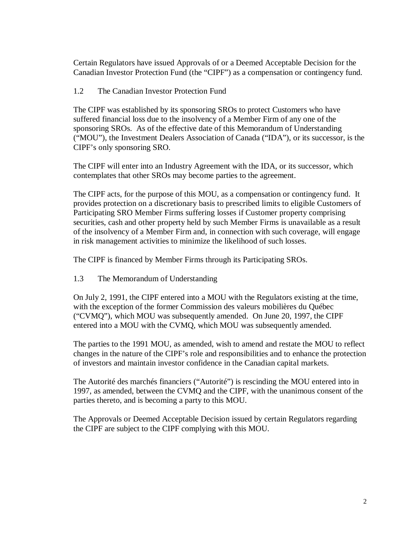Certain Regulators have issued Approvals of or a Deemed Acceptable Decision for the Canadian Investor Protection Fund (the "CIPF") as a compensation or contingency fund.

## 1.2 The Canadian Investor Protection Fund

The CIPF was established by its sponsoring SROs to protect Customers who have suffered financial loss due to the insolvency of a Member Firm of any one of the sponsoring SROs. As of the effective date of this Memorandum of Understanding ("MOU"), the Investment Dealers Association of Canada ("IDA"), or its successor, is the CIPF's only sponsoring SRO.

The CIPF will enter into an Industry Agreement with the IDA, or its successor, which contemplates that other SROs may become parties to the agreement.

The CIPF acts, for the purpose of this MOU, as a compensation or contingency fund. It provides protection on a discretionary basis to prescribed limits to eligible Customers of Participating SRO Member Firms suffering losses if Customer property comprising securities, cash and other property held by such Member Firms is unavailable as a result of the insolvency of a Member Firm and, in connection with such coverage, will engage in risk management activities to minimize the likelihood of such losses.

The CIPF is financed by Member Firms through its Participating SROs.

1.3 The Memorandum of Understanding

On July 2, 1991, the CIPF entered into a MOU with the Regulators existing at the time, with the exception of the former Commission des valeurs mobilières du Québec ("CVMQ"), which MOU was subsequently amended. On June 20, 1997, the CIPF entered into a MOU with the CVMQ, which MOU was subsequently amended.

The parties to the 1991 MOU, as amended, wish to amend and restate the MOU to reflect changes in the nature of the CIPF's role and responsibilities and to enhance the protection of investors and maintain investor confidence in the Canadian capital markets.

The Autorité des marchés financiers ("Autorité") is rescinding the MOU entered into in 1997, as amended, between the CVMQ and the CIPF, with the unanimous consent of the parties thereto, and is becoming a party to this MOU.

The Approvals or Deemed Acceptable Decision issued by certain Regulators regarding the CIPF are subject to the CIPF complying with this MOU.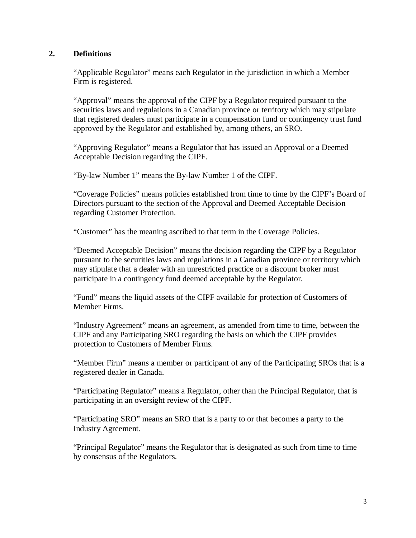## **2. Definitions**

 "Applicable Regulator" means each Regulator in the jurisdiction in which a Member Firm is registered.

 "Approval" means the approval of the CIPF by a Regulator required pursuant to the securities laws and regulations in a Canadian province or territory which may stipulate that registered dealers must participate in a compensation fund or contingency trust fund approved by the Regulator and established by, among others, an SRO.

 "Approving Regulator" means a Regulator that has issued an Approval or a Deemed Acceptable Decision regarding the CIPF.

"By-law Number 1" means the By-law Number 1 of the CIPF.

 "Coverage Policies" means policies established from time to time by the CIPF's Board of Directors pursuant to the section of the Approval and Deemed Acceptable Decision regarding Customer Protection.

"Customer" has the meaning ascribed to that term in the Coverage Policies.

 "Deemed Acceptable Decision" means the decision regarding the CIPF by a Regulator pursuant to the securities laws and regulations in a Canadian province or territory which may stipulate that a dealer with an unrestricted practice or a discount broker must participate in a contingency fund deemed acceptable by the Regulator.

 "Fund" means the liquid assets of the CIPF available for protection of Customers of Member Firms.

 "Industry Agreement" means an agreement, as amended from time to time, between the CIPF and any Participating SRO regarding the basis on which the CIPF provides protection to Customers of Member Firms.

 "Member Firm" means a member or participant of any of the Participating SROs that is a registered dealer in Canada.

 "Participating Regulator" means a Regulator, other than the Principal Regulator, that is participating in an oversight review of the CIPF.

 "Participating SRO" means an SRO that is a party to or that becomes a party to the Industry Agreement.

 "Principal Regulator" means the Regulator that is designated as such from time to time by consensus of the Regulators.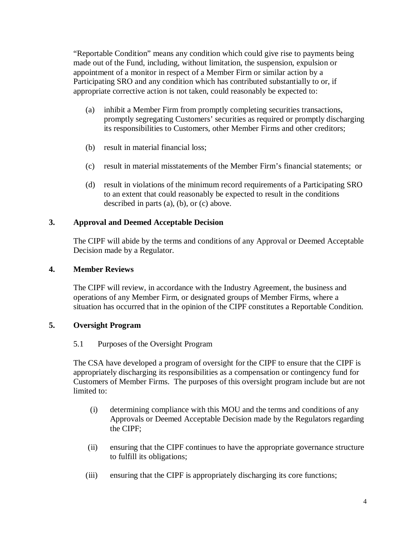"Reportable Condition" means any condition which could give rise to payments being made out of the Fund, including, without limitation, the suspension, expulsion or appointment of a monitor in respect of a Member Firm or similar action by a Participating SRO and any condition which has contributed substantially to or, if appropriate corrective action is not taken, could reasonably be expected to:

- (a) inhibit a Member Firm from promptly completing securities transactions, promptly segregating Customers' securities as required or promptly discharging its responsibilities to Customers, other Member Firms and other creditors;
- (b) result in material financial loss;
- (c) result in material misstatements of the Member Firm's financial statements; or
- (d) result in violations of the minimum record requirements of a Participating SRO to an extent that could reasonably be expected to result in the conditions described in parts (a), (b), or (c) above.

# **3. Approval and Deemed Acceptable Decision**

The CIPF will abide by the terms and conditions of any Approval or Deemed Acceptable Decision made by a Regulator.

# **4. Member Reviews**

The CIPF will review, in accordance with the Industry Agreement, the business and operations of any Member Firm, or designated groups of Member Firms, where a situation has occurred that in the opinion of the CIPF constitutes a Reportable Condition.

# **5. Oversight Program**

# 5.1 Purposes of the Oversight Program

The CSA have developed a program of oversight for the CIPF to ensure that the CIPF is appropriately discharging its responsibilities as a compensation or contingency fund for Customers of Member Firms. The purposes of this oversight program include but are not limited to:

- (i) determining compliance with this MOU and the terms and conditions of any Approvals or Deemed Acceptable Decision made by the Regulators regarding the CIPF;
- (ii) ensuring that the CIPF continues to have the appropriate governance structure to fulfill its obligations;
- (iii) ensuring that the CIPF is appropriately discharging its core functions;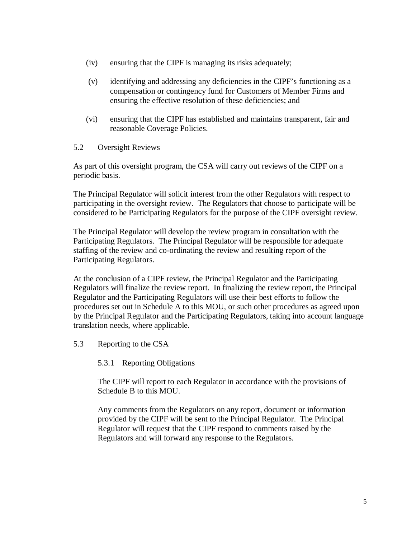- (iv) ensuring that the CIPF is managing its risks adequately;
- (v) identifying and addressing any deficiencies in the CIPF's functioning as a compensation or contingency fund for Customers of Member Firms and ensuring the effective resolution of these deficiencies; and
- (vi) ensuring that the CIPF has established and maintains transparent, fair and reasonable Coverage Policies.
- 5.2 Oversight Reviews

As part of this oversight program, the CSA will carry out reviews of the CIPF on a periodic basis.

The Principal Regulator will solicit interest from the other Regulators with respect to participating in the oversight review. The Regulators that choose to participate will be considered to be Participating Regulators for the purpose of the CIPF oversight review.

The Principal Regulator will develop the review program in consultation with the Participating Regulators. The Principal Regulator will be responsible for adequate staffing of the review and co-ordinating the review and resulting report of the Participating Regulators.

At the conclusion of a CIPF review, the Principal Regulator and the Participating Regulators will finalize the review report. In finalizing the review report, the Principal Regulator and the Participating Regulators will use their best efforts to follow the procedures set out in Schedule A to this MOU, or such other procedures as agreed upon by the Principal Regulator and the Participating Regulators, taking into account language translation needs, where applicable.

- 5.3 Reporting to the CSA
	- 5.3.1 Reporting Obligations

The CIPF will report to each Regulator in accordance with the provisions of Schedule B to this MOU.

Any comments from the Regulators on any report, document or information provided by the CIPF will be sent to the Principal Regulator. The Principal Regulator will request that the CIPF respond to comments raised by the Regulators and will forward any response to the Regulators.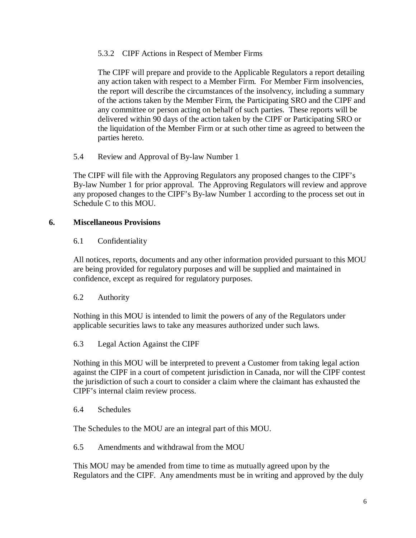## 5.3.2 CIPF Actions in Respect of Member Firms

The CIPF will prepare and provide to the Applicable Regulators a report detailing any action taken with respect to a Member Firm. For Member Firm insolvencies, the report will describe the circumstances of the insolvency, including a summary of the actions taken by the Member Firm, the Participating SRO and the CIPF and any committee or person acting on behalf of such parties. These reports will be delivered within 90 days of the action taken by the CIPF or Participating SRO or the liquidation of the Member Firm or at such other time as agreed to between the parties hereto.

5.4 Review and Approval of By-law Number 1

The CIPF will file with the Approving Regulators any proposed changes to the CIPF's By-law Number 1 for prior approval. The Approving Regulators will review and approve any proposed changes to the CIPF's By-law Number 1 according to the process set out in Schedule C to this MOU.

# **6. Miscellaneous Provisions**

# 6.1 Confidentiality

All notices, reports, documents and any other information provided pursuant to this MOU are being provided for regulatory purposes and will be supplied and maintained in confidence, except as required for regulatory purposes.

# 6.2 Authority

Nothing in this MOU is intended to limit the powers of any of the Regulators under applicable securities laws to take any measures authorized under such laws.

# 6.3 Legal Action Against the CIPF

Nothing in this MOU will be interpreted to prevent a Customer from taking legal action against the CIPF in a court of competent jurisdiction in Canada, nor will the CIPF contest the jurisdiction of such a court to consider a claim where the claimant has exhausted the CIPF's internal claim review process.

## 6.4 Schedules

The Schedules to the MOU are an integral part of this MOU.

# 6.5 Amendments and withdrawal from the MOU

This MOU may be amended from time to time as mutually agreed upon by the Regulators and the CIPF. Any amendments must be in writing and approved by the duly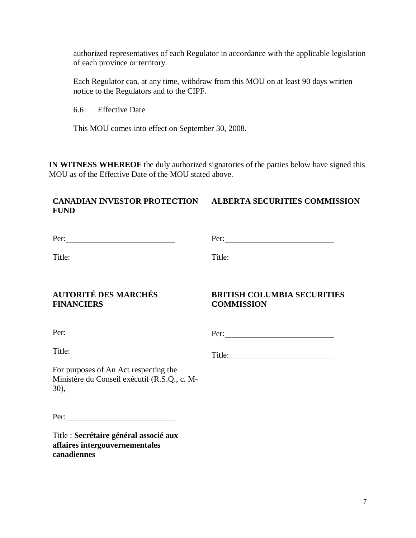authorized representatives of each Regulator in accordance with the applicable legislation of each province or territory.

Each Regulator can, at any time, withdraw from this MOU on at least 90 days written notice to the Regulators and to the CIPF.

6.6 Effective Date

This MOU comes into effect on September 30, 2008.

**IN WITNESS WHEREOF** the duly authorized signatories of the parties below have signed this MOU as of the Effective Date of the MOU stated above.

#### **CANADIAN INVESTOR PROTECTION FUND ALBERTA SECURITIES COMMISSION**

|                                                                                              | Per:                                                    |
|----------------------------------------------------------------------------------------------|---------------------------------------------------------|
|                                                                                              |                                                         |
| <b>AUTORITÉ DES MARCHÉS</b><br><b>FINANCIERS</b>                                             | <b>BRITISH COLUMBIA SECURITIES</b><br><b>COMMISSION</b> |
| Per:                                                                                         | Per:                                                    |
|                                                                                              |                                                         |
| For purposes of An Act respecting the<br>Ministère du Conseil exécutif (R.S.Q., c. M-<br>30, |                                                         |
| Per:                                                                                         |                                                         |
| Title : Secrétaire général associé aux<br>affaires intergouvernementales<br>canadiennes      |                                                         |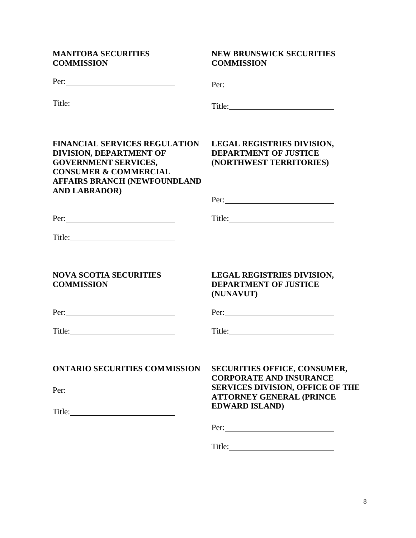## **MANITOBA SECURITIES COMMISSION**

# **NEW BRUNSWICK SECURITIES COMMISSION**

| Per:                                                                                                                                                                      | Per:                                                                                         |
|---------------------------------------------------------------------------------------------------------------------------------------------------------------------------|----------------------------------------------------------------------------------------------|
| $\text{Title:}$                                                                                                                                                           |                                                                                              |
| <b>FINANCIAL SERVICES REGULATION</b><br><b>DIVISION, DEPARTMENT OF</b><br><b>GOVERNMENT SERVICES,</b><br><b>CONSUMER &amp; COMMERCIAL</b><br>AFFAIRS BRANCH (NEWFOUNDLAND | <b>LEGAL REGISTRIES DIVISION,</b><br><b>DEPARTMENT OF JUSTICE</b><br>(NORTHWEST TERRITORIES) |
| <b>AND LABRADOR)</b>                                                                                                                                                      | Per:                                                                                         |
|                                                                                                                                                                           |                                                                                              |
|                                                                                                                                                                           |                                                                                              |
| <b>NOVA SCOTIA SECURITIES</b><br><b>COMMISSION</b>                                                                                                                        | <b>LEGAL REGISTRIES DIVISION,</b><br><b>DEPARTMENT OF JUSTICE</b><br>(NUNAVUT)               |
| Per:                                                                                                                                                                      | Per:                                                                                         |
|                                                                                                                                                                           |                                                                                              |

#### **ONTARIO SECURITIES COMMISSION**

Per:

Title:

**SECURITIES OFFICE, CONSUMER, CORPORATE AND INSURANCE SERVICES DIVISION, OFFICE OF THE ATTORNEY GENERAL (PRINCE EDWARD ISLAND)** 

Per:

Title: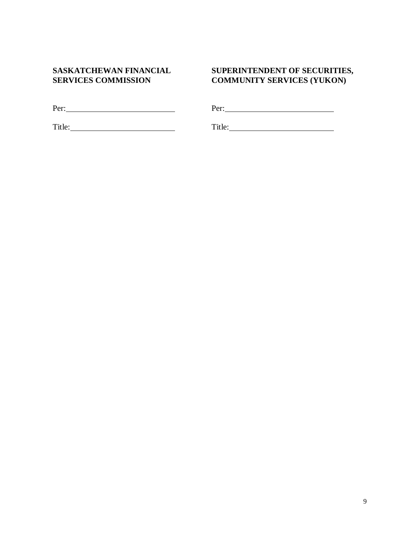## **SASKATCHEWAN FINANCIAL SERVICES COMMISSION**

# **SUPERINTENDENT OF SECURITIES, COMMUNITY SERVICES (YUKON)**

| - |  |
|---|--|
|   |  |

Title:

Title: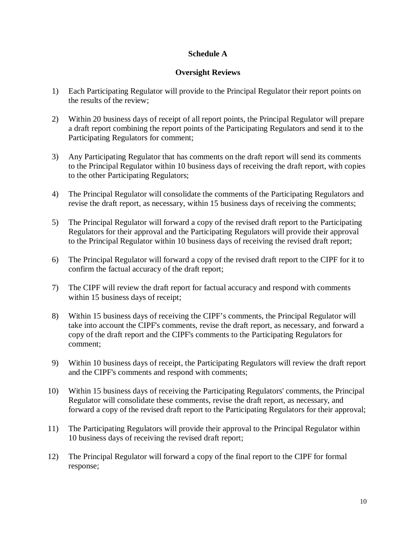## **Schedule A**

## **Oversight Reviews**

- 1) Each Participating Regulator will provide to the Principal Regulator their report points on the results of the review;
- 2) Within 20 business days of receipt of all report points, the Principal Regulator will prepare a draft report combining the report points of the Participating Regulators and send it to the Participating Regulators for comment;
- 3) Any Participating Regulator that has comments on the draft report will send its comments to the Principal Regulator within 10 business days of receiving the draft report, with copies to the other Participating Regulators;
- 4) The Principal Regulator will consolidate the comments of the Participating Regulators and revise the draft report, as necessary, within 15 business days of receiving the comments;
- 5) The Principal Regulator will forward a copy of the revised draft report to the Participating Regulators for their approval and the Participating Regulators will provide their approval to the Principal Regulator within 10 business days of receiving the revised draft report;
- 6) The Principal Regulator will forward a copy of the revised draft report to the CIPF for it to confirm the factual accuracy of the draft report;
- 7) The CIPF will review the draft report for factual accuracy and respond with comments within 15 business days of receipt;
- 8) Within 15 business days of receiving the CIPF's comments, the Principal Regulator will take into account the CIPF's comments, revise the draft report, as necessary, and forward a copy of the draft report and the CIPF's comments to the Participating Regulators for comment;
- 9) Within 10 business days of receipt, the Participating Regulators will review the draft report and the CIPF's comments and respond with comments;
- 10) Within 15 business days of receiving the Participating Regulators' comments, the Principal Regulator will consolidate these comments, revise the draft report, as necessary, and forward a copy of the revised draft report to the Participating Regulators for their approval;
- 11) The Participating Regulators will provide their approval to the Principal Regulator within 10 business days of receiving the revised draft report;
- 12) The Principal Regulator will forward a copy of the final report to the CIPF for formal response;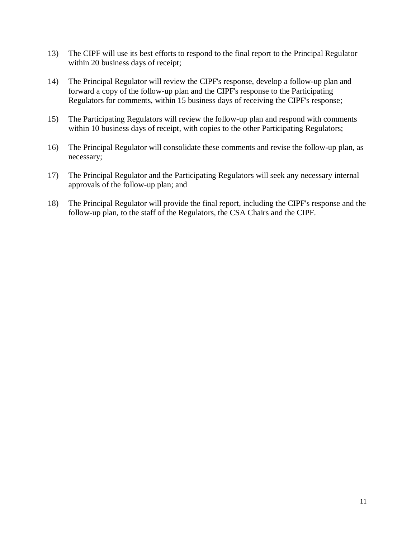- 13) The CIPF will use its best efforts to respond to the final report to the Principal Regulator within 20 business days of receipt;
- 14) The Principal Regulator will review the CIPF's response, develop a follow-up plan and forward a copy of the follow-up plan and the CIPF's response to the Participating Regulators for comments, within 15 business days of receiving the CIPF's response;
- 15) The Participating Regulators will review the follow-up plan and respond with comments within 10 business days of receipt, with copies to the other Participating Regulators;
- 16) The Principal Regulator will consolidate these comments and revise the follow-up plan, as necessary;
- 17) The Principal Regulator and the Participating Regulators will seek any necessary internal approvals of the follow-up plan; and
- 18) The Principal Regulator will provide the final report, including the CIPF's response and the follow-up plan, to the staff of the Regulators, the CSA Chairs and the CIPF.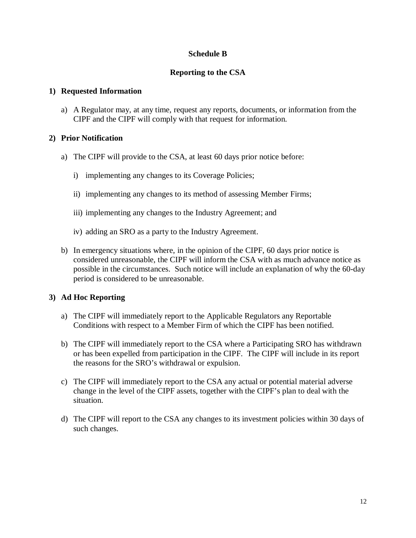# **Schedule B**

## **Reporting to the CSA**

## **1) Requested Information**

a) A Regulator may, at any time, request any reports, documents, or information from the CIPF and the CIPF will comply with that request for information.

## **2) Prior Notification**

- a) The CIPF will provide to the CSA, at least 60 days prior notice before:
	- i) implementing any changes to its Coverage Policies;
	- ii) implementing any changes to its method of assessing Member Firms;
	- iii) implementing any changes to the Industry Agreement; and
	- iv) adding an SRO as a party to the Industry Agreement.
- b) In emergency situations where, in the opinion of the CIPF, 60 days prior notice is considered unreasonable, the CIPF will inform the CSA with as much advance notice as possible in the circumstances. Such notice will include an explanation of why the 60-day period is considered to be unreasonable.

## **3) Ad Hoc Reporting**

- a) The CIPF will immediately report to the Applicable Regulators any Reportable Conditions with respect to a Member Firm of which the CIPF has been notified.
- b) The CIPF will immediately report to the CSA where a Participating SRO has withdrawn or has been expelled from participation in the CIPF. The CIPF will include in its report the reasons for the SRO's withdrawal or expulsion.
- c) The CIPF will immediately report to the CSA any actual or potential material adverse change in the level of the CIPF assets, together with the CIPF's plan to deal with the situation.
- d) The CIPF will report to the CSA any changes to its investment policies within 30 days of such changes.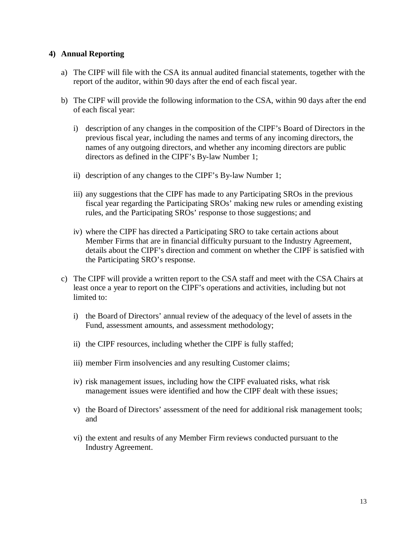## **4) Annual Reporting**

- a) The CIPF will file with the CSA its annual audited financial statements, together with the report of the auditor, within 90 days after the end of each fiscal year.
- b) The CIPF will provide the following information to the CSA, within 90 days after the end of each fiscal year:
	- i) description of any changes in the composition of the CIPF's Board of Directors in the previous fiscal year, including the names and terms of any incoming directors, the names of any outgoing directors, and whether any incoming directors are public directors as defined in the CIPF's By-law Number 1;
	- ii) description of any changes to the CIPF's By-law Number 1;
	- iii) any suggestions that the CIPF has made to any Participating SROs in the previous fiscal year regarding the Participating SROs' making new rules or amending existing rules, and the Participating SROs' response to those suggestions; and
	- iv) where the CIPF has directed a Participating SRO to take certain actions about Member Firms that are in financial difficulty pursuant to the Industry Agreement, details about the CIPF's direction and comment on whether the CIPF is satisfied with the Participating SRO's response.
- c) The CIPF will provide a written report to the CSA staff and meet with the CSA Chairs at least once a year to report on the CIPF's operations and activities, including but not limited to:
	- i) the Board of Directors' annual review of the adequacy of the level of assets in the Fund, assessment amounts, and assessment methodology;
	- ii) the CIPF resources, including whether the CIPF is fully staffed;
	- iii) member Firm insolvencies and any resulting Customer claims;
	- iv) risk management issues, including how the CIPF evaluated risks, what risk management issues were identified and how the CIPF dealt with these issues;
	- v) the Board of Directors' assessment of the need for additional risk management tools; and
	- vi) the extent and results of any Member Firm reviews conducted pursuant to the Industry Agreement.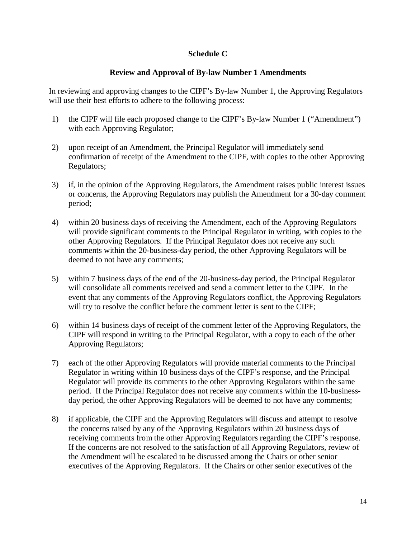# **Schedule C**

# **Review and Approval of By-law Number 1 Amendments**

In reviewing and approving changes to the CIPF's By-law Number 1, the Approving Regulators will use their best efforts to adhere to the following process:

- 1) the CIPF will file each proposed change to the CIPF's By-law Number 1 ("Amendment") with each Approving Regulator;
- 2) upon receipt of an Amendment, the Principal Regulator will immediately send confirmation of receipt of the Amendment to the CIPF, with copies to the other Approving Regulators;
- 3) if, in the opinion of the Approving Regulators, the Amendment raises public interest issues or concerns, the Approving Regulators may publish the Amendment for a 30-day comment period;
- 4) within 20 business days of receiving the Amendment, each of the Approving Regulators will provide significant comments to the Principal Regulator in writing, with copies to the other Approving Regulators. If the Principal Regulator does not receive any such comments within the 20-business-day period, the other Approving Regulators will be deemed to not have any comments;
- 5) within 7 business days of the end of the 20-business-day period, the Principal Regulator will consolidate all comments received and send a comment letter to the CIPF. In the event that any comments of the Approving Regulators conflict, the Approving Regulators will try to resolve the conflict before the comment letter is sent to the CIPF;
- 6) within 14 business days of receipt of the comment letter of the Approving Regulators, the CIPF will respond in writing to the Principal Regulator, with a copy to each of the other Approving Regulators;
- 7) each of the other Approving Regulators will provide material comments to the Principal Regulator in writing within 10 business days of the CIPF's response, and the Principal Regulator will provide its comments to the other Approving Regulators within the same period. If the Principal Regulator does not receive any comments within the 10-businessday period, the other Approving Regulators will be deemed to not have any comments;
- 8) if applicable, the CIPF and the Approving Regulators will discuss and attempt to resolve the concerns raised by any of the Approving Regulators within 20 business days of receiving comments from the other Approving Regulators regarding the CIPF's response. If the concerns are not resolved to the satisfaction of all Approving Regulators, review of the Amendment will be escalated to be discussed among the Chairs or other senior executives of the Approving Regulators. If the Chairs or other senior executives of the